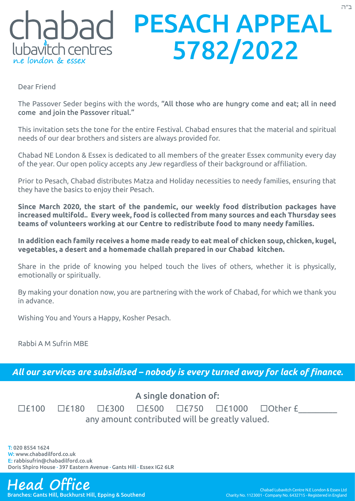## PESACH APPEAL chabad 5782/2022 lubavitch centres

Dear Friend

The Passover Seder begins with the words, "All those who are hungry come and eat; all in need come and join the Passover ritual."

This invitation sets the tone for the entire Festival. Chabad ensures that the material and spiritual needs of our dear brothers and sisters are always provided for.

Chabad NE London & Essex is dedicated to all members of the greater Essex community every day of the year. Our open policy accepts any Jew regardless of their background or affiliation.

Prior to Pesach, Chabad distributes Matza and Holiday necessities to needy families, ensuring that they have the basics to enjoy their Pesach.

**Since March 2020, the start of the pandemic, our weekly food distribution packages have increased multifold.. Every week, food is collected from many sources and each Thursday sees teams of volunteers working at our Centre to redistribute food to many needy families.** 

**In addition each family receives a home made ready to eat meal of chicken soup, chicken, kugel, vegetables, a desert and a homemade challah prepared in our Chabad kitchen.**

Share in the pride of knowing you helped touch the lives of others, whether it is physically, emotionally or spiritually.

By making your donation now, you are partnering with the work of Chabad, for which we thank you in advance.

Wishing You and Yours a Happy, Kosher Pesach.

Rabbi A M Sufrin MBE

*All our services are subsidised – nobody is every turned away for lack of finance.*

## A single donation of:

|                                                |  |  |  |  |  | $\Box$ £100 $\Box$ £180 $\Box$ £300 $\Box$ £500 $\Box$ £750 $\Box$ £1000 $\Box$ Other £ |  |  |
|------------------------------------------------|--|--|--|--|--|-----------------------------------------------------------------------------------------|--|--|
| any amount contributed will be greatly valued. |  |  |  |  |  |                                                                                         |  |  |

T: 020 8554 1624 W: www.chabadilford.co.uk E: rabbisufrin@chabadilford.co.uk Doris Shpiro House · 397 Eastern Avenue · Gants Hill · Essex IG2 6LR

## **Head Office** Chabad Lubavitch Centre N.E London & Essex Ltd

Branches: Gants Hill, Buckhurst Hill, Epping & Southend Charity No. 1123001 - Company No. 6432715 - Registered in England